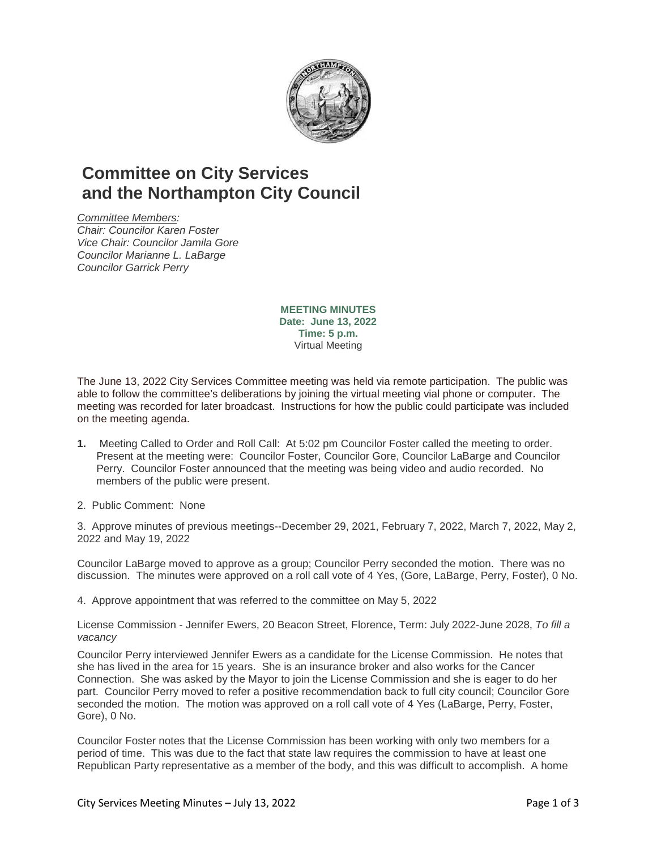

## **Committee on City Services and the Northampton City Council**

*Committee Members: Chair: Councilor Karen Foster Vice Chair: Councilor Jamila Gore Councilor Marianne L. LaBarge Councilor Garrick Perry*

> **MEETING MINUTES Date: June 13, 2022 Time: 5 p.m.** Virtual Meeting

The June 13, 2022 City Services Committee meeting was held via remote participation. The public was able to follow the committee's deliberations by joining the virtual meeting vial phone or computer. The meeting was recorded for later broadcast. Instructions for how the public could participate was included on the meeting agenda.

- **1.** Meeting Called to Order and Roll Call: At 5:02 pm Councilor Foster called the meeting to order. Present at the meeting were: Councilor Foster, Councilor Gore, Councilor LaBarge and Councilor Perry. Councilor Foster announced that the meeting was being video and audio recorded. No members of the public were present.
- 2. Public Comment: None

3. Approve minutes of previous meetings--December 29, 2021, February 7, 2022, March 7, 2022, May 2, 2022 and May 19, 2022

Councilor LaBarge moved to approve as a group; Councilor Perry seconded the motion. There was no discussion. The minutes were approved on a roll call vote of 4 Yes, (Gore, LaBarge, Perry, Foster), 0 No.

4. Approve appointment that was referred to the committee on May 5, 2022

License Commission - Jennifer Ewers, 20 Beacon Street, Florence, Term: July 2022-June 2028, *To fill a vacancy*

Councilor Perry interviewed Jennifer Ewers as a candidate for the License Commission. He notes that she has lived in the area for 15 years. She is an insurance broker and also works for the Cancer Connection. She was asked by the Mayor to join the License Commission and she is eager to do her part. Councilor Perry moved to refer a positive recommendation back to full city council; Councilor Gore seconded the motion. The motion was approved on a roll call vote of 4 Yes (LaBarge, Perry, Foster, Gore), 0 No.

Councilor Foster notes that the License Commission has been working with only two members for a period of time. This was due to the fact that state law requires the commission to have at least one Republican Party representative as a member of the body, and this was difficult to accomplish. A home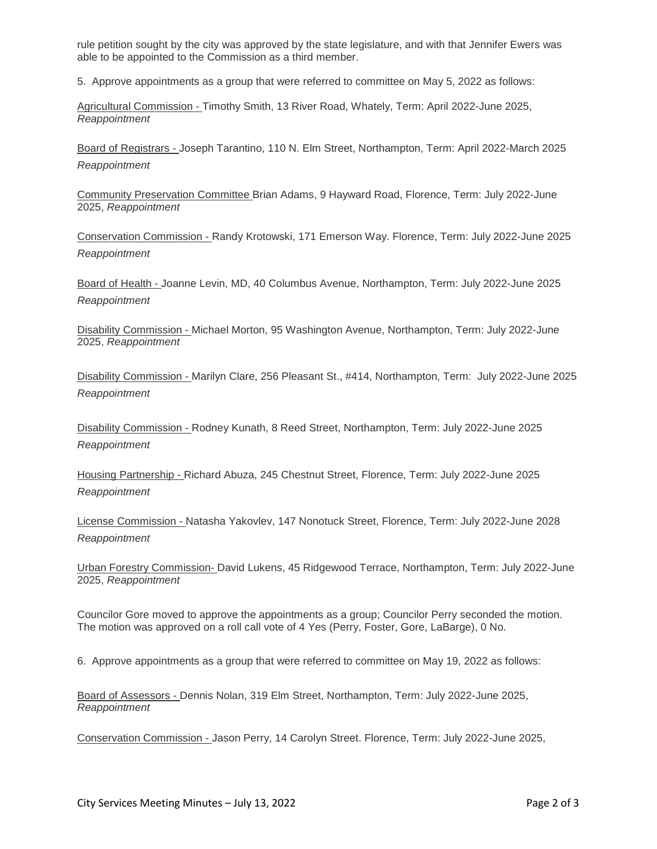rule petition sought by the city was approved by the state legislature, and with that Jennifer Ewers was able to be appointed to the Commission as a third member.

5. Approve appointments as a group that were referred to committee on May 5, 2022 as follows:

Agricultural Commission - Timothy Smith, 13 River Road, Whately, Term: April 2022-June 2025, *Reappointment*

Board of Registrars - Joseph Tarantino, 110 N. Elm Street, Northampton, Term: April 2022-March 2025 *Reappointment*

Community Preservation Committee Brian Adams, 9 Hayward Road, Florence, Term: July 2022-June 2025, *Reappointment*

Conservation Commission - Randy Krotowski, 171 Emerson Way. Florence, Term: July 2022-June 2025 *Reappointment*

Board of Health - Joanne Levin, MD, 40 Columbus Avenue, Northampton, Term: July 2022-June 2025 *Reappointment*

Disability Commission - Michael Morton, 95 Washington Avenue, Northampton, Term: July 2022-June 2025, *Reappointment*

Disability Commission - Marilyn Clare, 256 Pleasant St., #414, Northampton, Term: July 2022-June 2025 *Reappointment*

Disability Commission - Rodney Kunath, 8 Reed Street, Northampton, Term: July 2022-June 2025 *Reappointment*

Housing Partnership - Richard Abuza, 245 Chestnut Street, Florence, Term: July 2022-June 2025 *Reappointment*

License Commission - Natasha Yakovlev, 147 Nonotuck Street, Florence, Term: July 2022-June 2028 *Reappointment*

Urban Forestry Commission- David Lukens, 45 Ridgewood Terrace, Northampton, Term: July 2022-June 2025, *Reappointment*

Councilor Gore moved to approve the appointments as a group; Councilor Perry seconded the motion. The motion was approved on a roll call vote of 4 Yes (Perry, Foster, Gore, LaBarge), 0 No.

6. Approve appointments as a group that were referred to committee on May 19, 2022 as follows:

Board of Assessors - Dennis Nolan, 319 Elm Street, Northampton, Term: July 2022-June 2025, *Reappointment*

Conservation Commission - Jason Perry, 14 Carolyn Street. Florence, Term: July 2022-June 2025,